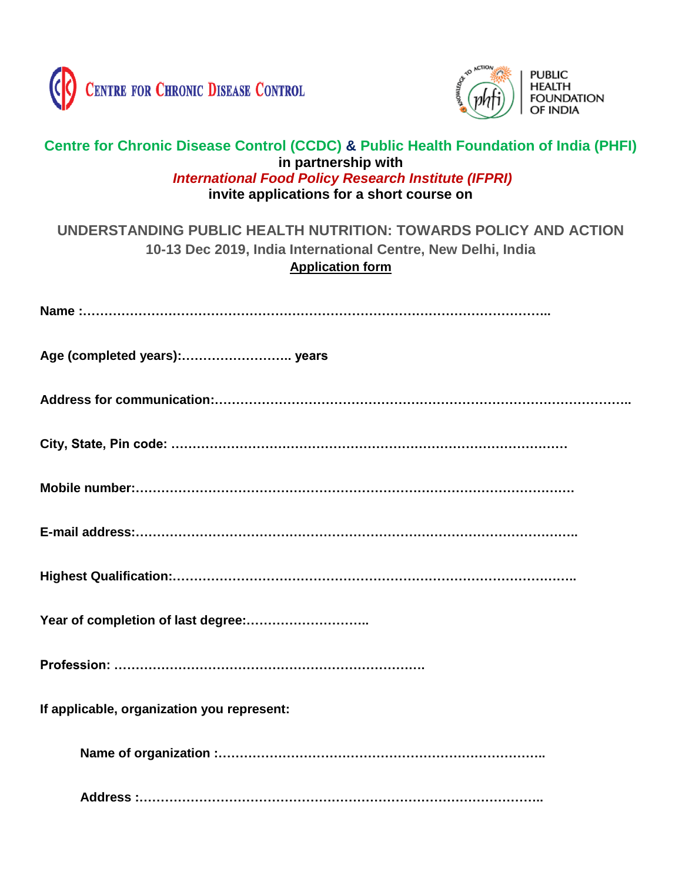



## **Centre for Chronic Disease Control (CCDC) & Public Health Foundation of India (PHFI) in partnership with** *International Food Policy Research Institute (IFPRI)* **invite applications for a short course on**

## **UNDERSTANDING PUBLIC HEALTH NUTRITION: TOWARDS POLICY AND ACTION 10-13 Dec 2019, India International Centre, New Delhi, India Application form**

| If applicable, organization you represent: |
|--------------------------------------------|
|                                            |
|                                            |